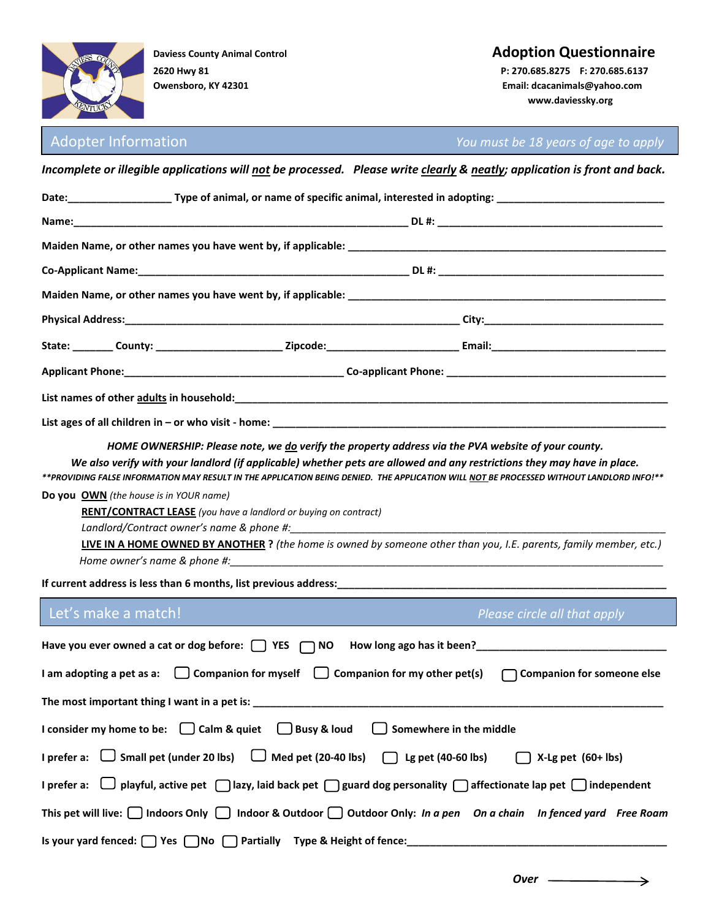

# **Daviess County Animal Control Control Control Control Control Control Control Control Control Control Control Control Control Control Control Control Control Control Control Control Control Control Control Control Control**

**Owensboro, KY 42301 Email: dcacanimals@yahoo.com www.daviessky.org**

Adopter Information *You must be 18 years of age to apply*

|                                                                                                                                                             |                                                                        | Date:___________________________Type of animal, or name of specific animal, interested in adopting: ___________________________________                                                                                                                                                                                                                                                   |  |  |  |  |  |  |  |
|-------------------------------------------------------------------------------------------------------------------------------------------------------------|------------------------------------------------------------------------|-------------------------------------------------------------------------------------------------------------------------------------------------------------------------------------------------------------------------------------------------------------------------------------------------------------------------------------------------------------------------------------------|--|--|--|--|--|--|--|
|                                                                                                                                                             |                                                                        |                                                                                                                                                                                                                                                                                                                                                                                           |  |  |  |  |  |  |  |
|                                                                                                                                                             |                                                                        |                                                                                                                                                                                                                                                                                                                                                                                           |  |  |  |  |  |  |  |
|                                                                                                                                                             |                                                                        |                                                                                                                                                                                                                                                                                                                                                                                           |  |  |  |  |  |  |  |
|                                                                                                                                                             |                                                                        |                                                                                                                                                                                                                                                                                                                                                                                           |  |  |  |  |  |  |  |
|                                                                                                                                                             |                                                                        |                                                                                                                                                                                                                                                                                                                                                                                           |  |  |  |  |  |  |  |
|                                                                                                                                                             |                                                                        |                                                                                                                                                                                                                                                                                                                                                                                           |  |  |  |  |  |  |  |
|                                                                                                                                                             |                                                                        |                                                                                                                                                                                                                                                                                                                                                                                           |  |  |  |  |  |  |  |
|                                                                                                                                                             |                                                                        |                                                                                                                                                                                                                                                                                                                                                                                           |  |  |  |  |  |  |  |
|                                                                                                                                                             |                                                                        |                                                                                                                                                                                                                                                                                                                                                                                           |  |  |  |  |  |  |  |
| <b>Do you OWN</b> (the house is in YOUR name)                                                                                                               | <b>RENT/CONTRACT LEASE</b> (you have a landlord or buying on contract) | We also verify with your landlord (if applicable) whether pets are allowed and any restrictions they may have in place.<br>**PROVIDING FALSE INFORMATION MAY RESULT IN THE APPLICATION BEING DENIED. THE APPLICATION WILL NOT BE PROCESSED WITHOUT LANDLORD INFO!**<br>LIVE IN A HOME OWNED BY ANOTHER ? (the home is owned by someone other than you, I.E. parents, family member, etc.) |  |  |  |  |  |  |  |
| Let's make a match!                                                                                                                                         |                                                                        | Please circle all that apply                                                                                                                                                                                                                                                                                                                                                              |  |  |  |  |  |  |  |
| Have you ever owned a cat or dog before: $\Box$ YES $\Box$ NO<br>I am adopting a pet as a: $\Box$ Companion for myself $\Box$ Companion for my other pet(s) |                                                                        | Companion for someone else                                                                                                                                                                                                                                                                                                                                                                |  |  |  |  |  |  |  |
| The most important thing I want in a pet is:                                                                                                                |                                                                        |                                                                                                                                                                                                                                                                                                                                                                                           |  |  |  |  |  |  |  |
| I consider my home to be: $\Box$ Calm & quiet $\Box$ Busy & loud                                                                                            |                                                                        | $\Box$ Somewhere in the middle                                                                                                                                                                                                                                                                                                                                                            |  |  |  |  |  |  |  |
| I prefer a: $\Box$ Small pet (under 20 lbs) $\Box$ Med pet (20-40 lbs) $\Box$ Lg pet (40-60 lbs)                                                            |                                                                        | $X-Lg$ pet $(60+Ibs)$                                                                                                                                                                                                                                                                                                                                                                     |  |  |  |  |  |  |  |
|                                                                                                                                                             |                                                                        | I prefer a: $\Box$ playful, active pet $\Box$ lazy, laid back pet $\Box$ guard dog personality $\Box$ affectionate lap pet $\Box$ independent                                                                                                                                                                                                                                             |  |  |  |  |  |  |  |
| This pet will live: $\Box$ Indoors Only $\Box$ Indoor & Outdoor $\Box$ Outdoor Only: In a pen On a chain In fenced yard Free Roam                           |                                                                        |                                                                                                                                                                                                                                                                                                                                                                                           |  |  |  |  |  |  |  |
|                                                                                                                                                             |                                                                        | Is your yard fenced: \Res \Res \Res \Results \Results Partially Type & Height of fence: \Results \Results \Results \Results \Results \Results \Results \Results \Results \Results \Results \Results \Results \Results \Results                                                                                                                                                            |  |  |  |  |  |  |  |

*Incomplete or illegible applications will not be processed. Please write clearly & neatly; application is front and back.*

→